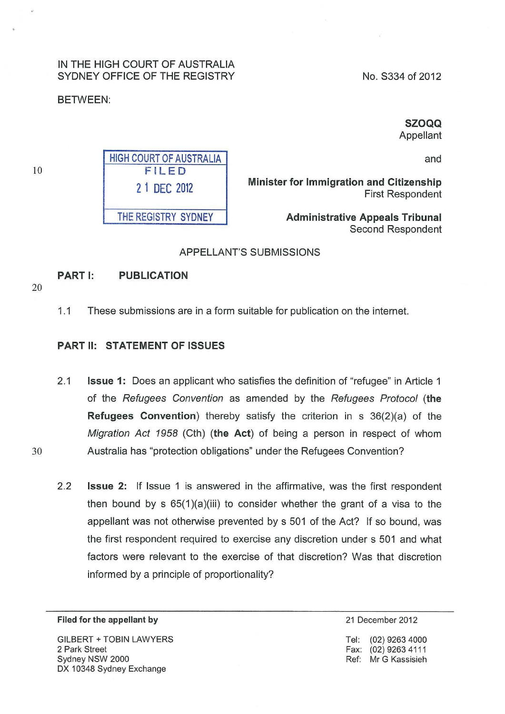#### IN THE HIGH COURT OF AUSTRALIA SYDNEY OFFICE OF THE REGISTRY

#### BETWEEN:

No. S334 of 2012

SZOQQ

Appellant

and

Minister for Immigration and Citizenship First Respondent

> Administrative Appeals Tribunal Second Respondent

#### APPELLANT'S SUBMISSIONS

#### PART I: PUBLICATION

20

10

1.1 These submissions are in a form suitable for publication on the internet.

#### PART II: STATEMENT OF ISSUES

- 2.1 **Issue 1:** Does an applicant who satisfies the definition of "refugee" in Article 1 of the Refugees Convention as amended by the Refugees Protocol (the Refugees Convention) thereby satisfy the criterion in s 36(2)(a) of the Migration Act 1958 (Cth) (the Act) of being a person in respect of whom 30 Australia has "protection obligations" under the Refugees Convention?
	- 2.2 **Issue 2:** If Issue 1 is answered in the affirmative, was the first respondent then bound by  $s$  65(1)(a)(iii) to consider whether the grant of a visa to the appellant was not otherwise prevented by s 501 of the Act? If so bound, was the first respondent required to exercise any discretion under s 501 and what factors were relevant to the exercise of that discretion? Was that discretion informed by a principle of proportionality?

#### Filed for the appellant by

GILBERT +TOBIN LAWYERS 2 Park Street Sydney NSW 2000 DX 10348 Sydney Exchange

21 December 2012

Tel: (02) 9263 4000 Fax: (02) 9263 4111 Ref: Mr G Kassisieh

HIGH COURT OF AUSTRALIA FILED 2 1 DEC 2012

THE REGISTRY SYDNEY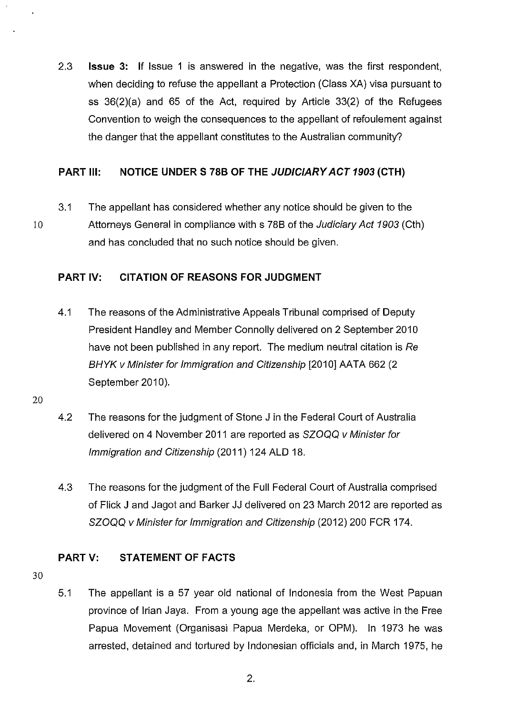2.3 **Issue** 3: If Issue 1 is answered in the negative, was the first respondent, when deciding to refuse the appellant a Protection (Class XA) visa pursuant to ss  $36(2)(a)$  and 65 of the Act, required by Article  $33(2)$  of the Refugees Convention to weigh the consequences to the appellant of refoulement against the danger that the appellant constitutes to the Australian community?

## **PART Ill: NOTICE UNDER S 788 OF THE JUDICIARY ACT 1903 (CTH)**

3.1 The appellant has considered whether any notice should be given to the 10 Attorneys General in compliance with s 788 of the Judiciary Act 1903 (Cth) and has concluded that no such notice should be given.

## **PART IV: CITATION OF REASONS FOR JUDGMENT**

- 4.1 The reasons of the Administrative Appeals Tribunal comprised of Deputy President Handley and Member Connolly delivered on 2 September 2010 have not been published in any report. The medium neutral citation is Re BHYK v Minister for Immigration and Citizenship [2010] AATA 662 (2) September 2010).
- 20
- 4.2 The reasons for the judgment of Stone J in the Federal Court of Australia delivered on 4 November 2011 are reported as SZOQQ v Minister for Immigration and Citizenship (2011) 124 ALD 18.
- 4.3 The reasons for the judgment of the Full Federal Court of Australia comprised of Flick J and Jagot and Barker JJ delivered on 23 March 2012 are reported as SZOQQ v Minister for Immigration and Citizenship (2012) 200 FCR 174.

## **PARTV: STATEMENT OF FACTS**

- 30
- 5.1 The appellant is a 57 year old national of Indonesia from the West Papuan province of Irian Jaya. From a young age the appellant was active in the Free Papua Movement (Organisasi Papua Merdeka, or OPM). In 1973 he was arrested, detained and tortured by Indonesian officials and, in March 1975, he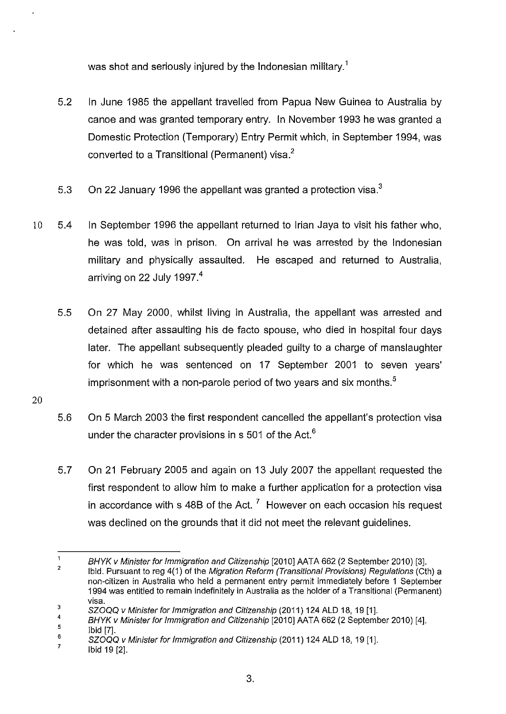was shot and seriously injured by the Indonesian military.<sup>1</sup>

- 5.2 In June 1985 the appellant travelled from Papua New Guinea to Australia by canoe and was granted temporary entry. In November 1993 he was granted a Domestic Protection (Temporary) Entry Permit which, in September 1994, was converted to a Transitional (Permanent) visa.<sup>2</sup>
- 5.3 On 22 January 1996 the appellant was granted a protection visa.<sup>3</sup>
- 10 5.4 In September 1996 the appellant returned to Irian Jaya to visit his father who, he was told, was in prison. On arrival he was arrested by the Indonesian military and physically assaulted. He escaped and returned to Australia, arriving on 22 July 1997.<sup>4</sup>
	- 5.5 On 27 May 2000, whilst living in Australia, the appellant was arrested and detained after assaulting his de facto spouse, who died in hospital four days later. The appellant subsequently pleaded guilty to a charge of manslaughter for which he was sentenced on 17 September 2001 to seven years' imprisonment with a non-parole period of two vears and six months.<sup>5</sup>
- 20
- 5.6 On 5 March 2003 the first respondent cancelled the appellant's protection visa under the character provisions in s 501 of the Act. $6<sup>6</sup>$
- 5.7 On 21 February 2005 and again on 13 July 2007 the appellant requested the first respondent to allow him to make a further application for a protection visa in accordance with s 48B of the Act.<sup>7</sup> However on each occasion his request was declined on the grounds that it did not meet the relevant guidelines.

 $\overline{1}$ BHYK v Minister for Immigration and Citizenship [2010] AATA 662 (2 September 2010) [3].

<sup>2</sup>  Ibid. Pursuant to reg 4(1) of the Migration Reform (Transitional Provisions) Regulations (Cth) a non-citizen in Australia who held a permanent entry permit immediately before 1 September 1994 was entitled to remain indefinitely in Australia as the holder of a Transitional (Permanent) visa.

<sup>3</sup>  SZOQQ v Minister for Immigration and Citizenship (2011) 124 ALD 18, 19 [1].

<sup>4</sup>  5 BHYK v Minister for Immigration and Citizenship [2010] AATA 662 (2 September 2010) [4]. Ibid [7].

<sup>6</sup>  SZOQQ v Minister for Immigration and Citizenship (2011) 124 ALD 18, 19 [1].

<sup>7</sup>  Ibid 19 [2].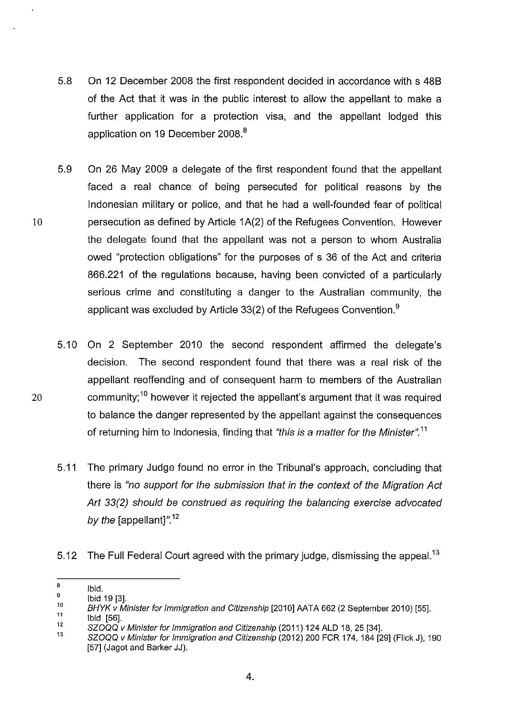- 5.8 On 12 December 2008 the first respondent decided in accordance with s 488 of the Act that it was in the public interest to allow the appellant to make a further application for a protection visa, and the appellant lodged this application on 19 December 2008.<sup>8</sup>
- 5.9 On 26 May 2009 a delegate of the first respondent found that the appellant faced a real chance of being persecuted for political reasons by the Indonesian military or police, and that he had a well-founded fear of political 10 persecution as defined by Article 1A(2) of the Refugees Convention. However the delegate found that the appellant was not a person to whom Australia owed "protection obligations" for the purposes of s 36 of the Act and criteria 866.221 of the regulations because, having been convicted of a particularly serious crime and constituting a danger to the Australian community, the applicant was excluded by Article 33(2) of the Refugees Convention.<sup>9</sup>
- 5.10 On 2 September 2010 the second respondent affirmed the delegate's decision. The second respondent found that there was a real risk of the appellant reoffending and of consequent harm to members of the Australian 20 community;<sup>10</sup> however it rejected the appellant's argument that it was required to balance the danger represented by the appellant against the consequences of returning him to Indonesia, finding that "this is a matter for the Minister".<sup>11</sup>
	- 5.11 The primary Judge found no error in the Tribunal's approach, concluding that there is "no support for the submission that in the context of the Migration Act Art 33(2) should be construed as requiring the balancing exercise advocated by the [appellant]". $12$
	- 5.12 The Full Federal Court agreed with the primary judge, dismissing the appeal.<sup>13</sup>

12 Ibid [56].

<sup>8</sup>  Ibid.

<sup>9</sup>  Ibid 19 [3].

<sup>10</sup>  11 BHYK v Minister for Immigration and Citizenship [2010] AATA 662 (2 September 2010) [55].

<sup>13</sup>  SZOQQ v Minister for Immigration and Citizenship (2011) 124 ALD 18, 25 [34].

SZOQQ v Minister for Immigration and Citizenship (2012) 200 FCR 174, 184 [29] {Flick J), 190 [57] (Jagot and Barker JJ).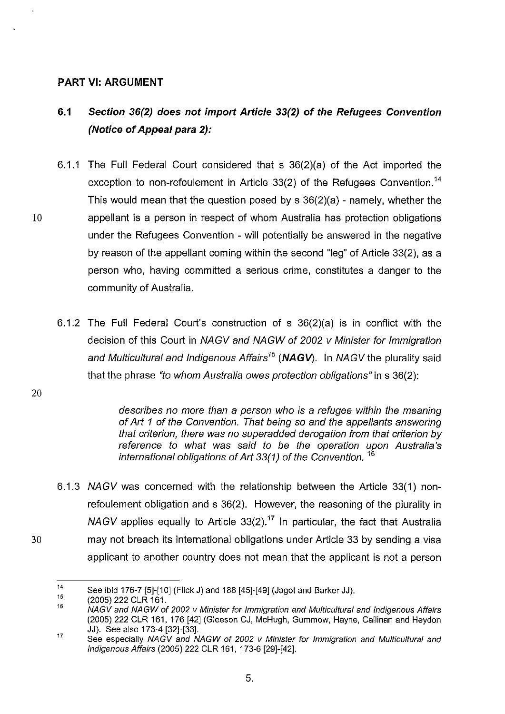#### **PART VI: ARGUMENT**

# **6.1 Section 36(2) does not import Article 33(2) of the Refugees Convention (Notice of Appeal para** 2):

- 6.1.1 The Full Federal Court considered that s 36(2)(a) of the Act imported the exception to non-refoulement in Article 33(2) of the Refugees Convention.<sup>14</sup> This would mean that the question posed by s 36(2)(a)- namely, whether the 10 appellant is a person in respect of whom Australia has protection obligations under the Refugees Convention - will potentially be answered in the negative by reason of the appellant coming within the second "leg" of Article 33(2), as a person who, having committed a serious crime, constitutes a danger to the community of Australia.
	- 6.1.2 The Full Federal Court's construction of s 36(2)(a) is in conflict with the decision of this Court in NAGV and NAGW of 2002 v Minister for Immigration and Multicultural and Indigenous Affairs*15* **(NAGV).** In NAGVthe plurality said that the phrase "to whom Australia owes protection obligations" in s 36(2):

20

describes no more than a person who is a refugee within the meaning of Art 1 of the Convention. That being so and the appellants answering that criterion, there was no superadded derogation from that criterion by reference to what was said to be the operation upon Australia's international obligations of Art 33(1) of the Convention.  $10$ 

6.1.3 NAGV was concerned with the relationship between the Article 33(1) nonrefoulement obligation and s 36(2). However, the reasoning of the plurality in NAGV applies equally to Article 33(2).<sup>17</sup> In particular, the fact that Australia 30 may not breach its international obligations under Article 33 by sending a visa applicant to another country does not mean that the applicant is not a person

<sup>14</sup>  See ibid 176-7 [5]-[10] (Flick J) and 188 [45]-[49] (Jagot and Barker JJ).

<sup>15</sup>  (2005) 222 CLR 161.

<sup>16</sup>  NAGV and NAGW of 2002 v Minister for Immigration and Multicultural and Indigenous Affairs (2005) 222 CLR 161, 176 [42] (Gleeson CJ, McHugh, Gummow, Hayne, Callinan and Heydon JJ). See also 173-4 [32]-[33].

<sup>17</sup>  See especially NAGV and NAGW of 2002 v Minister for Immigration and Multicultural and Indigenous Affairs (2005) 222 CLR 161, 173-6 [29]-[42].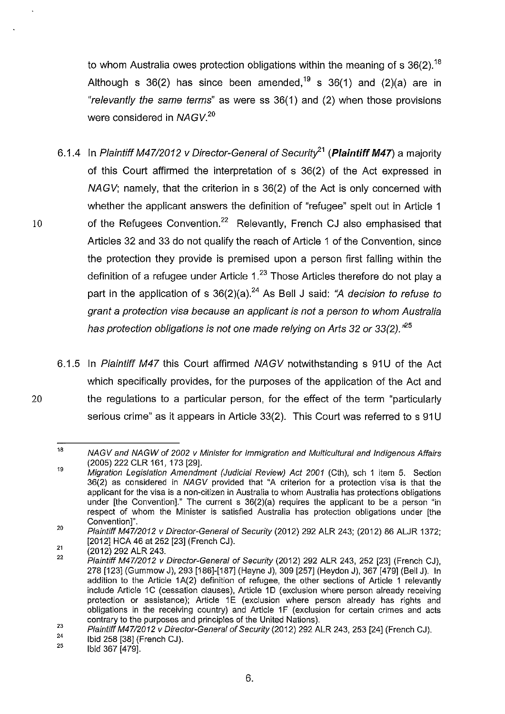to whom Australia owes protection obligations within the meaning of s  $36(2)$ .<sup>18</sup> Although s  $36(2)$  has since been amended,<sup>19</sup> s  $36(1)$  and  $(2)(a)$  are in "relevantly the same terms" as were ss 36(1) and (2) when those provisions were considered in NAGV.*<sup>20</sup>*

- 6.1.4 In Plaintiff M47/2012 v Director-General of Security<sup>21</sup> (Plaintiff M47) a majority of this Court affirmed the interpretation of s 36(2) of the Act expressed in NAGV; namely, that the criterion in s 36(2) of the Act is only concerned with whether the applicant answers the definition of "refugee" spelt out in Article 1 10 of the Refugees Convention.<sup>22</sup> Relevantly, French CJ also emphasised that Articles 32 and 33 do not qualify the reach of Article 1 of the Convention, since the protection they provide is premised upon a person first falling within the definition of a refugee under Article  $1.^{23}$  Those Articles therefore do not play a part in the application of s  $36(2)(a)$ .<sup>24</sup> As Bell J said: "A *decision to refuse to* grant a protection visa because an applicant is not a person to whom Australia has protection obligations is not one made relying on Arts 32 or 33(2). $^{425}$
- 6.1.5 In Plaintiff M47 this Court affirmed NAGV notwithstanding s 91U of the Act which specifically provides, for the purposes of the application of the Act and 20 the regulations to a particular person, for the effect of the term "particularly serious crime" as it appears in Article 33(2). This Court was referred to s 91U

<sup>18</sup>  19 NAGV and NAGW of 2002 v Minister for Immigration and Multicultural and Indigenous Affairs (2005) 222 CLR 161, 173 [29].

Migration Legislation Amendment (Judicial Review) Act 2001 (Cth), sch 1 item 5. Section 36(2) as considered in NAGV provided that "A criterion for a protection visa is that the applicant for the visa is a non-citizen in Australia to whom Australia has protections obligations under [the Convention]." The current s 36(2)(a) requires the applicant to be a person "in respect of whom the Minister is satisfied Australia has protection obligations under [the Convention]".

<sup>20</sup>  Plaintiff M47/2012 v Director-General of Security (2012) 292 ALR 243; (2012) 86 ALJR 1372; [2012] HCA 46 at 252 [23] (French CJ).

<sup>21</sup>  (2012) 292 ALR 243.

<sup>22</sup>  Plaintiff M47/2012 v Director-General of Security (2012) 292 ALR 243, 252 [23] (French CJ), 278 [123] (Gummow J), 293 [186]-[187] (Hayne J), 309 [257] (Heydon J), 367 [479] (Bell J). In addition to the Article 1 A(2) definition of refugee, the other sections of Article 1 relevantly include Article 1C (cessation clauses), Article 1D (exclusion where person already receiving protection or assistance); Article 1E (exclusion where person already has rights and obligations in the receiving country) and Article 1F (exclusion for certain crimes and acts contrary to the purposes and principles of the United Nations).

<sup>23</sup>  Plaintiff M47/2012 v Director-General of Security (2012) 292 ALR 243, 253 [24] (French CJ).

<sup>24</sup>  Ibid 258 [38] (French CJ).

<sup>25</sup>  Ibid 367 [479].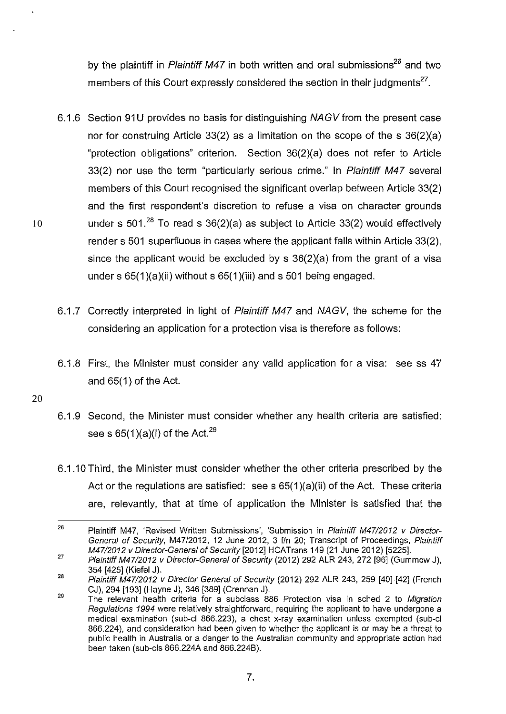by the plaintiff in Plaintiff M47 in both written and oral submissions<sup>26</sup> and two members of this Court expressly considered the section in their judgments<sup>27</sup>.

- 6.1.6 Section 91U provides no basis for distinguishing NAGV from the present case nor for construing Article 33(2) as a limitation on the scope of the s 36(2)(a) "protection obligations" criterion. Section 36(2)(a} does not refer to Article 33(2) nor use the term "particularly serious crime." In Plaintiff M47 several members of this Court recognised the significant overlap between Article 33(2) and the first respondent's discretion to refuse a visa on character grounds 10 under s 501.<sup>28</sup> To read s 36(2)(a) as subject to Article 33(2) would effectively render s 501 superfluous in cases where the applicant falls within Article 33(2), since the applicant would be excluded by s 36(2}(a) from the grant of a visa under s  $65(1)(a)(ii)$  without s  $65(1)(iii)$  and s  $501$  being engaged.
	- 6.1.7 Correctly interpreted in light of Plaintiff M47 and NAGV, the scheme for the considering an application for a protection visa is therefore as follows:
	- 6.1.8 First, the Minister must consider any valid application for a visa: see ss 47 and  $65(1)$  of the Act.
- 20
- 6.1.9 Second, the Minister must consider whether any health criteria are satisfied: see s  $65(1)(a)(i)$  of the Act.<sup>29</sup>
- 6.1.10Third, the Minister must consider whether the other criteria prescribed by the Act or the regulations are satisfied: see s  $65(1)(a)(ii)$  of the Act. These criteria are, relevantly, that at time of application the Minister is satisfied that the

<sup>26</sup>  27 Plaintiff M47, 'Revised Written Submissions', 'Submission in Plaintiff M47/2012 v Director-General of Security, M47/2012, 12 June 2012, 3 f/n 20; Transcript of Proceedings, Plaintiff M47/2012 v Director-General of Security [2012] HCATrans 149 (21 June 2012) [5225].

Plaintiff M47/2012 v Director-General of Security (2012) 292 ALR 243, 272 [96] (Gummow J), 354 [425] (Kiefel J).

<sup>28</sup>  Plaintiff M47/2012 v Director-General of Security (2012) 292 ALR 243, 259 [40]-[42] (French CJ}, 294 [193] (Hayne J}, 346 [389] (Grennan J).

<sup>29</sup>  The relevant health criteria for a subclass 886 Protection visa in sched 2 to Migration Regulations 1994 were relatively straightforward, requiring the applicant to have undergone a medical examination (sub-cl 866.223), a chest x-ray examination unless exempted (sub-cl 866.224), and consideration had been given to whether the applicant is or may be a threat to public health in Australia or a danger to the Australian community and appropriate action had been taken (sub-cis 866.224A and 866.2248).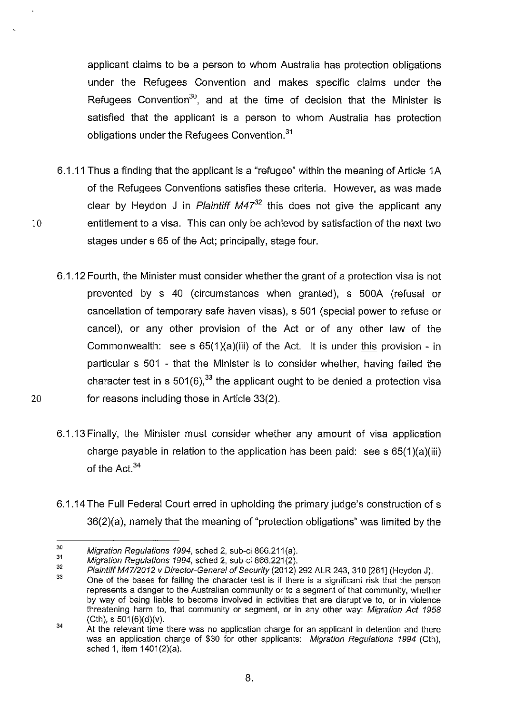applicant claims to be a person to whom Australia has protection obligations under the Refugees Convention and makes specific claims under the Refugees Convention<sup>30</sup>, and at the time of decision that the Minister is satisfied that the applicant is a person to whom Australia has protection obligations under the Refugees Convention.<sup>31</sup>

- 6.1.11 Thus a finding that the applicant is a "refugee" within the meaning of Article 1 A of the Refugees Conventions satisfies these criteria. However, as was made clear by Heydon J in Plaintiff M47*32* this does not give the applicant any entitlement to a visa. This can only be achieved by satisfaction of the next two stages under s 65 of the Act; principally, stage four.
- 6.1.12 Fourth, the Minister must consider whether the grant of a protection visa is not prevented by s 40 (circumstances when granted), s 500A (refusal or cancellation of temporary safe haven visas), s 501 (special power to refuse or cancel), or any other provision of the Act or of any other law of the Commonwealth: see s  $65(1)(a)(iii)$  of the Act. It is under this provision - in particular s 501 - that the Minister is to consider whether, having failed the character test in s  $501(6)$ ,  $33$  the applicant ought to be denied a protection visa 20 for reasons including those in Article 33(2).
	- 6.1.13 Finally, the Minister must consider whether any amount of visa application charge payable in relation to the application has been paid: see s 65(1 )(a)(iii) of the Act.<sup>34</sup>
	- 6.1.14 The Full Federal Court erred in upholding the primary judge's construction of s 36(2)(a), namely that the meaning of "protection obligations" was limited by the

10

8.

<sup>30</sup>  Migration Regulations 1994, sched 2, sub-cl 866.211(a).

<sup>31</sup>  Migration Regulations 1994, sched 2, sub-cl 866.221(2).

<sup>32</sup>  Plaintiff M47/2012 v Director-General of Security (2012) 292 ALR 243, 310 [261] (Heydon J).

<sup>33</sup>  One of the bases for failing the character test is if there is a significant risk that the person represents a danger to the Australian community or to a segment of that community, whether by way of being liable to become involved in activities that are disruptive to, or in violence threatening harm to, that community or segment, or in any other way: Migration Act 1958  $(Cth)$ , s  $501(6)(d)(v)$ .

<sup>34</sup>  At the relevant time there was no application charge for an applicant in detention and there was an application charge of \$30 for other applicants: Migration Regulations 1994 (Cth), sched 1, item 1401(2)(a).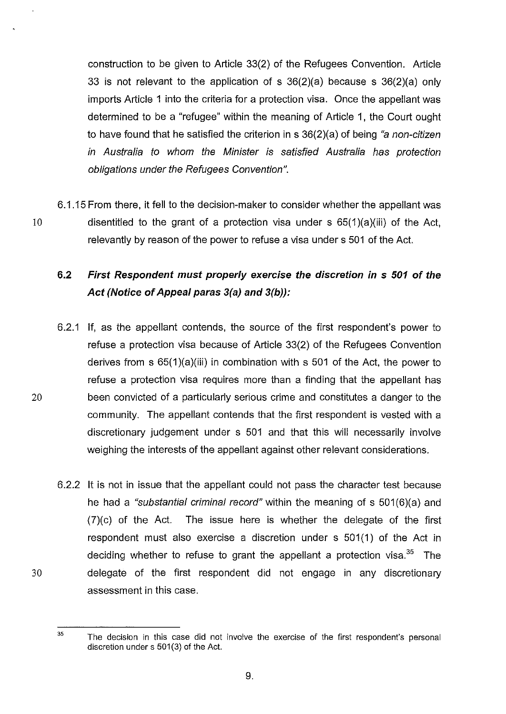construction to be given to Article 33(2) of the Refugees Convention. Article 33 is not relevant to the application of s 36(2)(a) because s 36(2)(a) only imports Article 1 into the criteria for a protection visa. Once the appellant was determined to be a "refugee" within the meaning of Article 1, the Court ought to have found that he satisfied the criterion in  $s$  36(2)(a) of being "a non-citizen in Australia to whom the Minister is satisfied Australia has protection obligations under the Refugees Convention".

6.1.15 From there, it fell to the decision-maker to consider whether the appellant was 10 disentitled to the grant of a protection visa under s 65(1 )(a)(iii) of the Act, relevantly by reason of the power to refuse a visa under s 501 of the Act.

# **6.2 First Respondent must properly exercise the discretion in s 501 of the Act (Notice of Appeal paras** 3(a) **and 3(b)):**

- 6.2.1 If, as the appellant contends, the source of the first respondent's power to refuse a protection visa because of Article 33(2) of the Refugees Convention derives from s 65(1 )(a)(iii) in combination with s 501 of the Act, the power to refuse a protection visa requires more than a finding that the appellant has 20 been convicted of a particularly serious crime and constitutes a danger to the community. The appellant contends that the first respondent is vested with a discretionary judgement under s 501 and that this will necessarily involve weighing the interests of the appellant against other relevant considerations.
- 6.2.2 It is not in issue that the appellant could not pass the character test because he had a "substantial criminal record" within the meaning of s 501(6)(a) and (7)(c) of the Act. The issue here is whether the delegate of the first respondent must also exercise a discretion under s 501(1) of the Act in deciding whether to refuse to grant the appellant a protection visa.<sup>35</sup> The 30 delegate of the first respondent did not engage in any discretionary assessment in this case.

<sup>&</sup>lt;sup>35</sup> The decision in this case did not involve the exercise of the first respondent's personal discretion under s 501(3) of the Act.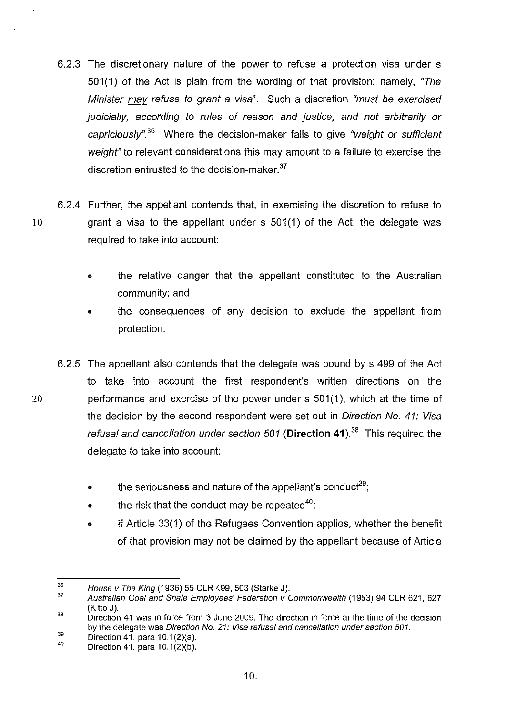- 6.2.3 The discretionary nature of the power to refuse a protection visa under s 501(1) of the Act is plain from the wording of that provision; namely, "The Minister may refuse to grant a visa". Such a discretion "must be exercised judicially, according to rules of reason and justice, and not arbitrarily or capriciously".<sup>36</sup> Where the decision-maker fails to give "weight or sufficient weight" to relevant considerations this may amount to a failure to exercise the discretion entrusted to the decision-maker.<sup>37</sup>
- 6.2.4 Further, the appellant contends that, in exercising the discretion to refuse to 10 grant a visa to the appellant under s 501 (1) of the Act, the delegate was required to take into account:
	- the relative danger that the appellant constituted to the Australian community; and
	- the consequences of any decision to exclude the appellant from protection.
- 6.2.5 The appellant also contends that the delegate was bound by s 499 of the Act to take into account the first respondent's written directions on the 20 performance and exercise of the power under s 501 (1 ), which at the time of the decision by the second respondent were set out in Direction No. 41: Visa refusal and cancellation under section 501 **(Direction 41).38** This required the delegate to take into account:
	- $\bullet$  the seriousness and nature of the appellant's conduct<sup>39</sup>;
	- $\bullet$  the risk that the conduct may be repeated<sup>40</sup>;
	- if Article 33(1) of the Refugees Convention applies, whether the benefit of that provision may not be claimed by the appellant because of Article

10.

<sup>36</sup>  House v The King (1936) 55 CLR 499, 503 (Starke J).

<sup>37</sup>  Australian Coal and Shale Employees' Federation v Commonwealth (1953) 94 CLR 621, 627 (Kitto J).

<sup>38</sup>  Direction 41 was in force from 3 June 2009. The direction in force at the time of the decision by the delegate was Direction No. 21: Visa refusal and cancellation under section 501.

<sup>39</sup>  Direction 41, para 10.1 (2)(a).

<sup>40</sup>  Direction 41, para 10.1(2)(b).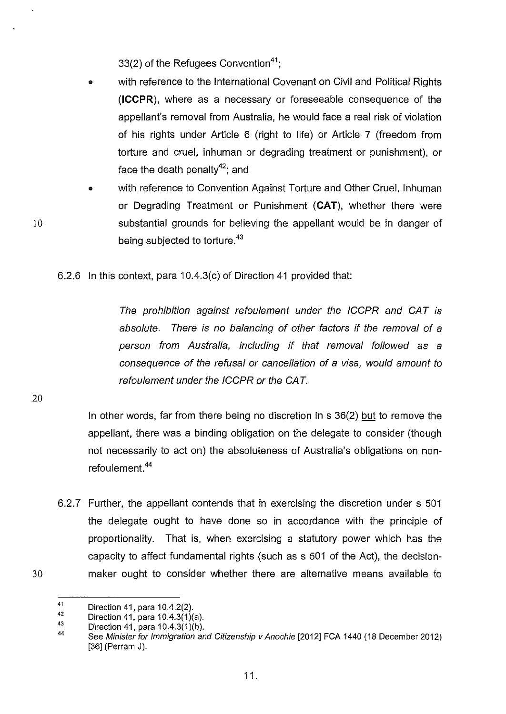33(2) of the Refugees Convention<sup>41</sup>:

- with reference to the International Covenant on Civil and Political Rights **(ICCPR),** where as a necessary or foreseeable consequence of the appellant's removal from Australia, he would face a real risk of violation of his rights under Article 6 (right to life) or Article 7 (freedom from torture and cruel, inhuman or degrading treatment or punishment), or face the death penalty $42$ ; and
- with reference to Convention Against Torture and Other Cruel, Inhuman or Degrading Treatment or Punishment **(CAT),** whether there were substantial grounds for believing the appellant would be in danger of being subjected to torture.<sup>43</sup>

6.2.6 In this context, para 10.4.3(c) of Direction 41 provided that:

The prohibition against refoulement under the ICCPR and CAT is absolute. There is no balancing of other factors if the removal of a person from Australia, including if that removal followed as a consequence of the refusal or cancellation of a visa, would amount to refoulement under the ICCPR or the CAT.

20

30

10

In other words, far from there being no discretion in s 36(2) but to remove the appellant, there was a binding obligation on the delegate to consider (though not necessarily to act on) the absoluteness of Australia's obligations on nonrefoulement.<sup>44</sup>

6.2.7 Further, the appellant contends that in exercising the discretion under s 501 the delegate ought to have done so in accordance with the principle of proportionality. That is, when exercising a statutory power which has the capacity to affect fundamental rights (such as s 501 of the Act), the decisionmaker ought to consider whether there are alternative means available to

<sup>41</sup>  Direction 41, para  $10.4.2(2)$ .

<sup>42</sup>  Direction 41, para  $10.4.3(1)(a)$ .

<sup>43</sup>  Direction 41, para 10.4.3(1)(b).

<sup>44</sup>  See Minister for Immigration and Citizenship v Anochie [2012] FCA 1440 (18 December 2012) [36] (Perram J).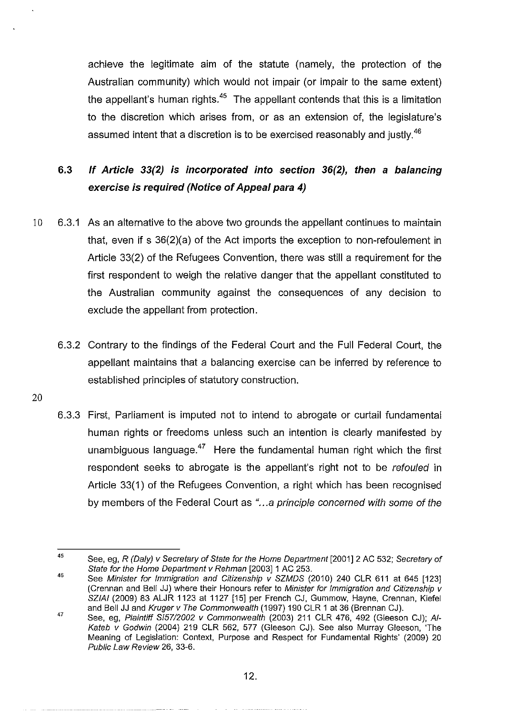achieve the legitimate aim of the statute (namely, the protection of the Australian community) which would not impair (or impair to the same extent) the appellant's human rights.<sup>45</sup> The appellant contends that this is a limitation to the discretion which arises from, or as an extension of, the legislature's assumed intent that a discretion is to be exercised reasonably and justly.<sup>46</sup>

# **6.3 If Article 33(2) is incorporated into section 36(2), then a balancing exercise is required (Notice of Appeal para 4)**

- 10 6.3.1 As an alternative to the above two grounds the appellant continues to maintain that, even if s 36(2)(a) of the Act imports the exception to non-refoulement in Article 33(2) of the Refugees Convention, there was still a requirement for the first respondent to weigh the relative danger that the appellant constituted to the Australian community against the consequences of any decision to exclude the appellant from protection.
	- 6.3.2 Contrary to the findings of the Federal Court and the Full Federal Court, the appellant maintains that a balancing exercise can be inferred by reference to established principles of statutory construction.
- 20
- 6.3.3 First, Parliament is imputed not to intend to abrogate or curtail fundamental human rights or freedoms unless such an intention is clearly manifested by unambiguous language. $47$  Here the fundamental human right which the first respondent seeks to abrogate is the appellant's right not to be refouled in Article 33(1) of the Refugees Convention, a right which has been recognised by members of the Federal Court as "...a principle concerned with some of the

<sup>45</sup>  See, eg, R (Daly) v Secretary of State for the Home Department [2001] 2 AC 532; Secretary of State for the Home Department v Rehman [2003] 1 AC 253.

<sup>46</sup>  See Minister for Immigration and Citizenship  $\overline{y}$  SZMDS (2010) 240 CLR 611 at 645 [123] (Crennan and Bell JJ) where their Honours refer to Minister for Immigration and Citizenship v SZIAI (2009) 83 ALJR 1123 at 1127 [15] per French CJ, Gummow, Hayne, Grennan, Kiefel and Bell JJ and Kruger v The Commonwealth (1997) 190 CLR 1 at 36 (Brennan CJ).

<sup>47</sup>  See, eg, Plaintiff 5157/2002 v Commonwealth (2003) 211 CLR 476, 492 (Gleeson CJ); AI-Kateb v Godwin (2004) 219 CLR 562, 577 (Gleeson CJ). See also Murray Gleeson, 'The Meaning of Legislation: Context, Purpose and Respect for Fundamental Rights' (2009) 20 Public Law Review 26, 33-6.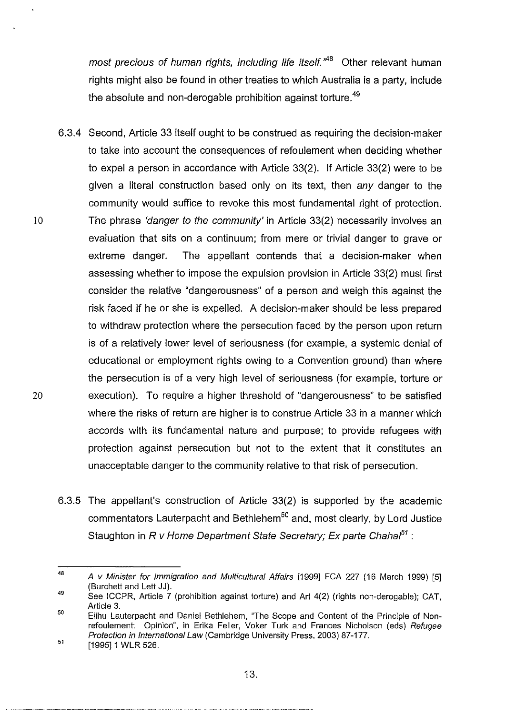most precious of human rights, including life itself. $A^{AB}$  Other relevant human rights might also be found in other treaties to which Australia is a party, include the absolute and non-derogable prohibition against torture.<sup>49</sup>

- 6.3.4 Second, Article 33 itself ought to be construed as requiring the decision-maker to take into account the consequences of refoulement when deciding whether to expel a person in accordance with Article 33(2). If Article 33(2) were to be given a literal construction based only on its text, then any danger to the community would suffice to revoke this most fundamental right of protection. 10 The phrase 'danger to the community' in Article 33(2) necessarily involves an evaluation that sits on a continuum; from mere or trivial danger to grave or extreme danger. The appellant contends that a decision-maker when assessing whether to impose the expulsion provision in Article 33(2) must first consider the relative "dangerousness" of a person and weigh this against the risk faced if he or she is expelled. A decision-maker should be less prepared to withdraw protection where the persecution faced by the person upon return is of a relatively lower level of seriousness (for example, a systemic denial of educational or employment rights owing to a Convention ground) than where the persecution is of a very high level of seriousness (for example, torture or 20 execution). To require a higher threshold of "dangerousness" to be satisfied where the risks of return are higher is to construe Article 33 in a manner which accords with its fundamental nature and purpose; to provide refugees with protection against persecution but not to the extent that it constitutes an unacceptable danger to the community relative to that risk of persecution.
	- 6.3.5 The appellant's construction of Article 33(2) is supported by the academic commentators Lauterpacht and Bethlehem<sup>50</sup> and, most clearly, by Lord Justice Staughton in R v Home Department State Secretary; Ex parte Chahal*<sup>51</sup>*:

<sup>48</sup>  49 A v Minister for Immigration and Multicultural Affairs [1999] FCA 227 (16 March 1999) [5] (Burchett and Lett JJ).

See ICCPR, Article 7 (prohibition against torture) and Art 4(2) (rights non-derogable); CAT, Article 3.

<sup>50</sup>  51 Elihu Lauterpacht and Daniel Bethlehem, "The Scope and Content of the Principle of Nonrefoulement: Opinion", in Erika Feller, Voker Turk and Frances Nicholson (eds) Refugee Protection in International Law (Cambridge University Press, 2003) 87-177.

<sup>[1995] 1</sup> WLR 526.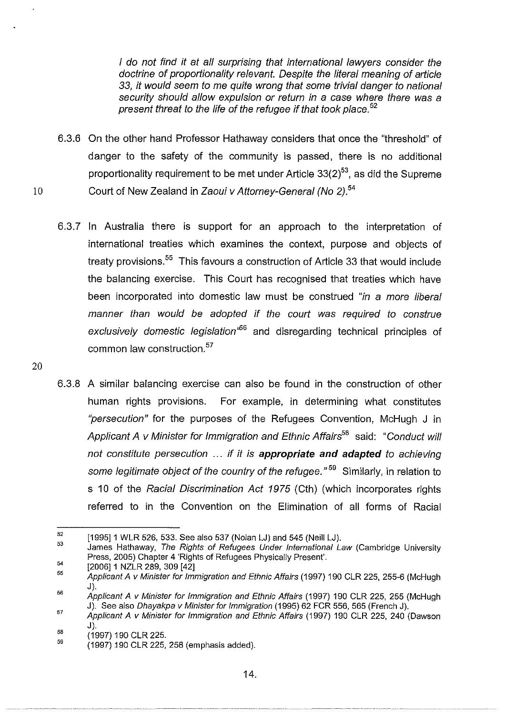I do not find it at all surprising that international lawyers consider the doctrine of proportionality relevant. Despite the literal meaning of article 33, it would seem to me quite wrong that some trivial danger to national security should allow expulsion or return in a case where there was a present threat to the life of the refugee if that took place.<sup>52</sup>

- 6.3.6 On the other hand Professor Hathaway considers that once the "threshold" of danger to the safety of the community is passed, there is no additional proportionality requirement to be met under Article  $33(2)^{53}$ , as did the Supreme 10 Court of New Zealand in Zaoui v Attorney-General (No 2).*<sup>54</sup>*
	- 6.3.7 In Australia there is support for an approach to the interpretation of international treaties which examines the context, purpose and objects of treaty provisions.<sup>55</sup> This favours a construction of Article 33 that would include the balancing exercise. This Court has recognised that treaties which have been incorporated into domestic law must be construed "in a more liberal manner than would be adopted if the court was required to construe exclusively domestic legislation<sup>,66</sup> and disregarding technical principles of common law construction.<sup>57</sup>
	- 6.3.8 A similar balancing exercise can also be found in the construction of other human rights provisions. For example, in determining what constitutes "persecution" for the purposes of the Refugees Convention, McHugh J in Applicant A v Minister for Immigration and Ethnic Affairs*58* said: "Conduct will not constitute persecution ... if it is **appropriate and adapted** to achieving some legitimate object of the country of the refugee."  $59$  Similarly, in relation to s 10 of the Racial Discrimination Act 1975 (Cth) (which incorporates rights referred to in the Convention on the Elimination of all forms of Racial

20

<sup>52</sup>  [1995] 1 WLR 526, 533. See also 537 (Nolan LJ) and 545 (Neill LJ).

<sup>53</sup>  54 James Hathaway, The Rights of Refugees Under International Law (Cambridge University Press, 2005) Chapter 4 'Rights of Refugees Physically Present'.

<sup>55</sup>  [2006] 1 NZLR 289, 309 [42]

Applicant A v Minister for Immigration and Ethnic Affairs (1997) 190 CLR 225, 255-6 (McHugh J).

<sup>56</sup>  Applicant A v Minister for Immigration and Ethnic Affairs (1997) 190 CLR 225, 255 (McHugh J). See also Dhayakpa v Minister for Immigration (1995) 62 FCR 556,565 (French J).

<sup>57</sup>  Applicant A v Minister for Immigration and Ethnic Affairs (1997) 190 CLR 225, 240 (Dawson J).

SB ( 1997) 190 CLR 225.

<sup>59</sup>  (1997) 190 CLR 225, 258 (emphasis added).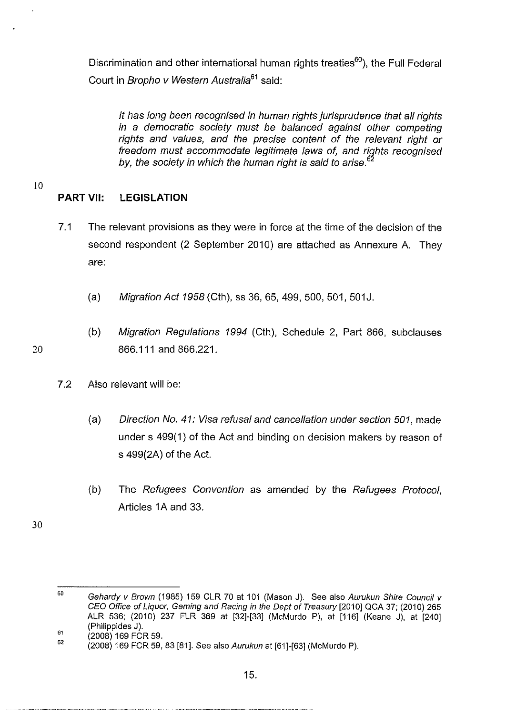Discrimination and other international human rights treaties<sup>60</sup>), the Full Federal Court in Bropho v Western Australia<sup>61</sup> said:

It has long been recognised in human rights jurisprudence that all rights in a democratic society must be balanced against other competing rights and values, and the precise content of the relevant right or freedom must accommodate legitimate laws of, and rights recognised by, the society in which the human right is said to arise. $6$ 

10

20

# **PART** VII: **LEGISLATION**

- 7.1 The relevant provisions as they were in force at the time of the decision of the second respondent (2 September 2010) are attached as Annexure A. They are:
	- (a) Migration Act 1958 (Cth), ss 36, 65, 499, 500, 501, 501J.
	- (b) Migration Regulations 1994 (Cth), Schedule 2, Part 866, subclauses 866.111 and 866.221.
- 7.2 Also relevant will be:
	- (a) Direction No. 41: Visa refusal and cancellation under section 501, made under s 499(1) of the Act and binding on decision makers by reason of s 499(2A) of the Act.
	- (b) The Refugees Convention as amended by the Refugees Protocol, Articles 1A and 33.

30

<sup>60</sup>  61 Gehardy v Brown (1985) 159 CLR 70 at 101 (Mason J). See also Aurukun Shire Council v CEO Office of Liquor, Gaming and Racing in the Dept of Treasury [2010] QCA 37; (2010) 265 ALR 536; (2010) 237 FLR 369 at [32]-[33] (McMurdo P), at [116] (Keane J), at [240] (Philippides J).

<sup>62</sup>  (2008) 169 FCR 59.

<sup>(2008) 169</sup> FCR 59, 83 [81]. See also Aurukun at [61]-[63] (McMurdo P).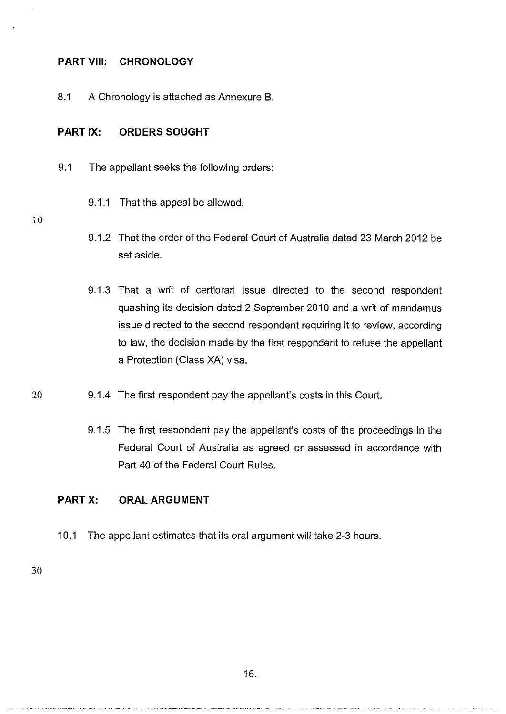#### **PART** VIII: **CHRONOLOGY**

8.1 A Chronology is attached as Annexure B.

#### **PART** IX: **ORDERS SOUGHT**

- 9.1 The appellant seeks the following orders:
	- 9.1.1 That the appeal be allowed.
- 10
- 9.1.2 That the order of the Federal Court of Australia dated 23 March 2012 be set aside.
- 9.1.3 That a writ of certiorari issue directed to the second respondent quashing its decision dated 2 September 2010 and a writ of mandamus issue directed to the second respondent requiring it to review, according to law, the decision made by the first respondent to refuse the appellant a Protection (Class XA) visa.
- 20 9.1.4 The first respondent pay the appellant's costs in this Court.
	- 9.1.5 The first respondent pay the appellant's costs of the proceedings in the Federal Court of Australia as agreed or assessed in accordance with Part 40 of the Federal Court Rules.

### **PART** X: **ORAL ARGUMENT**

10.1 The appellant estimates that its oral argument will take 2-3 hours.

30